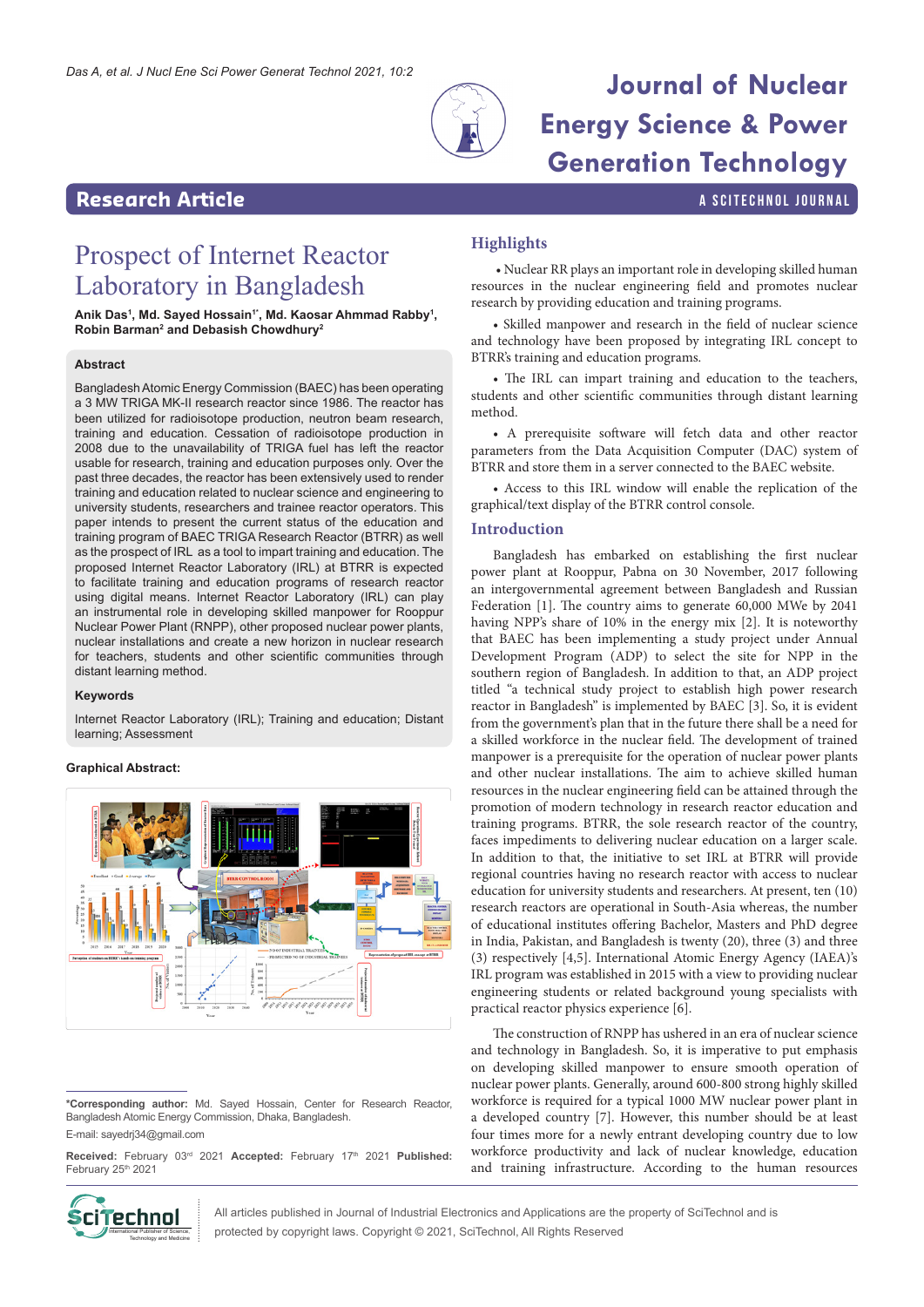

# *Das A, et al. J Nucl Ene Sci Power Generat Technol 2021, 10:2* **Journal of Nuclear Energy Science & Power Generation Technology**

# **Research Article a Scitted Article <b>a** Scitted A Scitted A Scitted A Scitted A Scitted A Scitted A Scitted A Scitted A Scitted A Scitted A Scitted A Scitted A Scitted A Scitted A Scitted A Scitted A Scitted A Scitted A

# Prospect of Internet Reactor Laboratory in Bangladesh

Anik Das<sup>1</sup>, Md. Sayed Hossain<sup>1</sup>˚, Md. Kaosar Ahmmad Rabby<sup>1</sup>, **Robin Barman2 and Debasish Chowdhury2**

# **Abstract**

Bangladesh Atomic Energy Commission (BAEC) has been operating a 3 MW TRIGA MK-II research reactor since 1986. The reactor has been utilized for radioisotope production, neutron beam research, training and education. Cessation of radioisotope production in 2008 due to the unavailability of TRIGA fuel has left the reactor usable for research, training and education purposes only. Over the past three decades, the reactor has been extensively used to render training and education related to nuclear science and engineering to university students, researchers and trainee reactor operators. This paper intends to present the current status of the education and training program of BAEC TRIGA Research Reactor (BTRR) as well as the prospect of IRL as a tool to impart training and education. The proposed Internet Reactor Laboratory (IRL) at BTRR is expected to facilitate training and education programs of research reactor using digital means. Internet Reactor Laboratory (IRL) can play an instrumental role in developing skilled manpower for Rooppur Nuclear Power Plant (RNPP), other proposed nuclear power plants, nuclear installations and create a new horizon in nuclear research for teachers, students and other scientific communities through distant learning method.

#### **Keywords**

Internet Reactor Laboratory (IRL); Training and education; Distant learning; Assessment

### **Graphical Abstract:**



**\*Corresponding author:** Md. Sayed Hossain, Center for Research Reactor, Bangladesh Atomic Energy Commission, Dhaka, Bangladesh.

E-mail: sayedrj34@gmail.com

**Received:** February 03rd 2021 **Accepted:** February 17th 2021 **Published:** February 25<sup>th</sup> 2021



All articles published in Journal of Industrial Electronics and Applications are the property of SciTechnol and is protected by copyright laws. Copyright © 2021, SciTechnol, All Rights Reserved

# **Highlights**

 • Nuclear RR plays an important role in developing skilled human resources in the nuclear engineering field and promotes nuclear research by providing education and training programs.

• Skilled manpower and research in the field of nuclear science and technology have been proposed by integrating IRL concept to BTRR's training and education programs.

• The IRL can impart training and education to the teachers, students and other scientific communities through distant learning method.

• A prerequisite software will fetch data and other reactor parameters from the Data Acquisition Computer (DAC) system of BTRR and store them in a server connected to the BAEC website.

• Access to this IRL window will enable the replication of the graphical/text display of the BTRR control console.

# **Introduction**

Bangladesh has embarked on establishing the first nuclear power plant at Rooppur, Pabna on 30 November, 2017 following an intergovernmental agreement between Bangladesh and Russian Federation [1]. The country aims to generate 60,000 MWe by 2041 having NPP's share of 10% in the energy mix [2]. It is noteworthy that BAEC has been implementing a study project under Annual Development Program (ADP) to select the site for NPP in the southern region of Bangladesh. In addition to that, an ADP project titled "a technical study project to establish high power research reactor in Bangladesh" is implemented by BAEC [3]. So, it is evident from the government's plan that in the future there shall be a need for a skilled workforce in the nuclear field. The development of trained manpower is a prerequisite for the operation of nuclear power plants and other nuclear installations. The aim to achieve skilled human resources in the nuclear engineering field can be attained through the promotion of modern technology in research reactor education and training programs. BTRR, the sole research reactor of the country, faces impediments to delivering nuclear education on a larger scale. In addition to that, the initiative to set IRL at BTRR will provide regional countries having no research reactor with access to nuclear education for university students and researchers. At present, ten (10) research reactors are operational in South-Asia whereas, the number of educational institutes offering Bachelor, Masters and PhD degree in India, Pakistan, and Bangladesh is twenty (20), three (3) and three (3) respectively [4,5]. International Atomic Energy Agency (IAEA)'s IRL program was established in 2015 with a view to providing nuclear engineering students or related background young specialists with practical reactor physics experience [6].

The construction of RNPP has ushered in an era of nuclear science and technology in Bangladesh. So, it is imperative to put emphasis on developing skilled manpower to ensure smooth operation of nuclear power plants. Generally, around 600-800 strong highly skilled workforce is required for a typical 1000 MW nuclear power plant in a developed country [7]. However, this number should be at least four times more for a newly entrant developing country due to low workforce productivity and lack of nuclear knowledge, education and training infrastructure. According to the human resources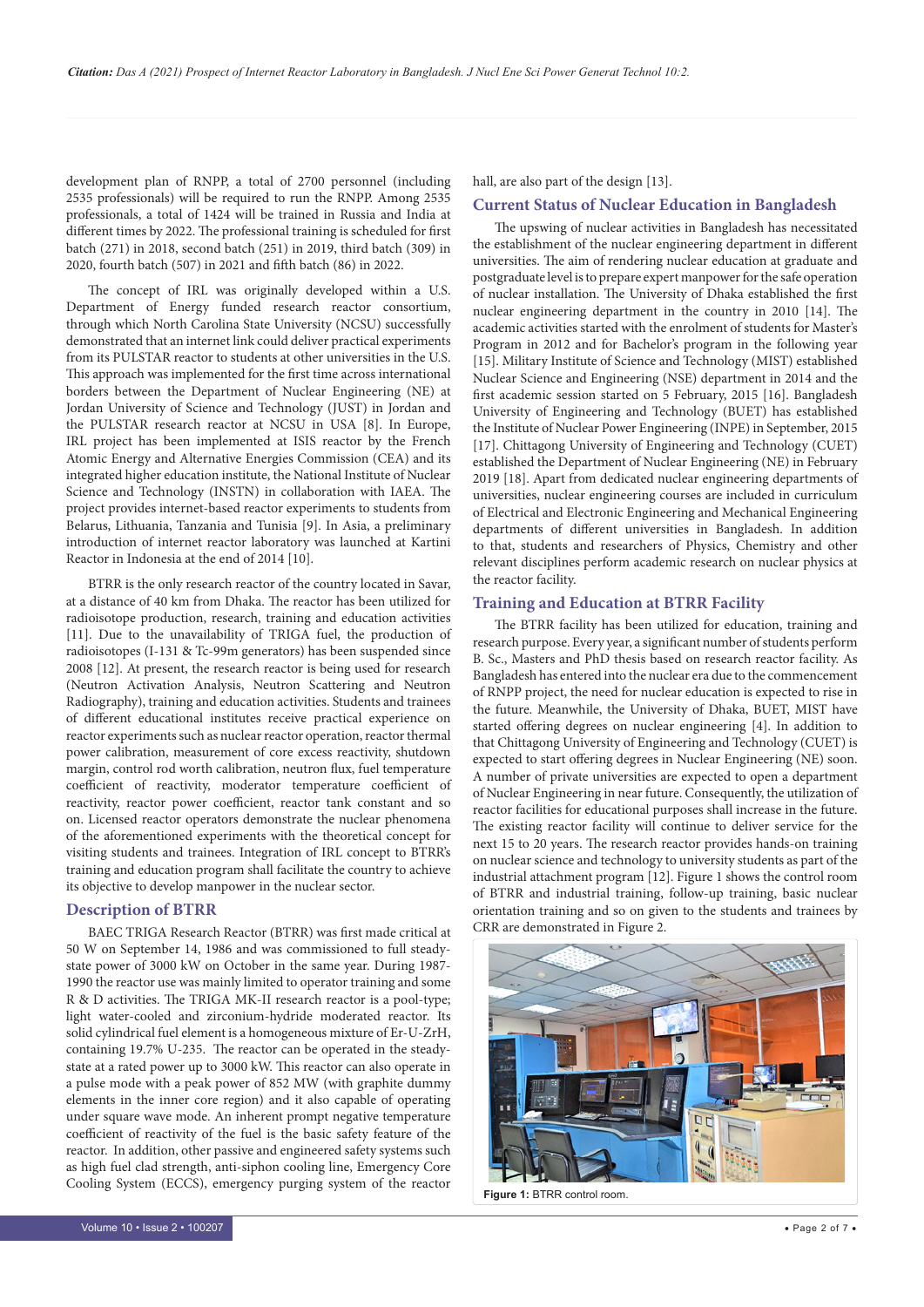development plan of RNPP, a total of 2700 personnel (including 2535 professionals) will be required to run the RNPP. Among 2535 professionals, a total of 1424 will be trained in Russia and India at different times by 2022. The professional training is scheduled for first batch (271) in 2018, second batch (251) in 2019, third batch (309) in 2020, fourth batch (507) in 2021 and fifth batch (86) in 2022.

The concept of IRL was originally developed within a U.S. Department of Energy funded research reactor consortium, through which North Carolina State University (NCSU) successfully demonstrated that an internet link could deliver practical experiments from its PULSTAR reactor to students at other universities in the U.S. This approach was implemented for the first time across international borders between the Department of Nuclear Engineering (NE) at Jordan University of Science and Technology (JUST) in Jordan and the PULSTAR research reactor at NCSU in USA [8]. In Europe, IRL project has been implemented at ISIS reactor by the French Atomic Energy and Alternative Energies Commission (CEA) and its integrated higher education institute, the National Institute of Nuclear Science and Technology (INSTN) in collaboration with IAEA. The project provides internet-based reactor experiments to students from Belarus, Lithuania, Tanzania and Tunisia [9]. In Asia, a preliminary introduction of internet reactor laboratory was launched at Kartini Reactor in Indonesia at the end of 2014 [10].

BTRR is the only research reactor of the country located in Savar, at a distance of 40 km from Dhaka. The reactor has been utilized for radioisotope production, research, training and education activities [11]. Due to the unavailability of TRIGA fuel, the production of radioisotopes (I-131 & Tc-99m generators) has been suspended since 2008 [12]. At present, the research reactor is being used for research (Neutron Activation Analysis, Neutron Scattering and Neutron Radiography), training and education activities. Students and trainees of different educational institutes receive practical experience on reactor experiments such as nuclear reactor operation, reactor thermal power calibration, measurement of core excess reactivity, shutdown margin, control rod worth calibration, neutron flux, fuel temperature coefficient of reactivity, moderator temperature coefficient of reactivity, reactor power coefficient, reactor tank constant and so on. Licensed reactor operators demonstrate the nuclear phenomena of the aforementioned experiments with the theoretical concept for visiting students and trainees. Integration of IRL concept to BTRR's training and education program shall facilitate the country to achieve its objective to develop manpower in the nuclear sector.

# **Description of BTRR**

BAEC TRIGA Research Reactor (BTRR) was first made critical at 50 W on September 14, 1986 and was commissioned to full steadystate power of 3000 kW on October in the same year. During 1987- 1990 the reactor use was mainly limited to operator training and some R & D activities. The TRIGA MK-II research reactor is a pool-type; light water-cooled and zirconium-hydride moderated reactor. Its solid cylindrical fuel element is a homogeneous mixture of Er-U-ZrH, containing 19.7% U-235. The reactor can be operated in the steadystate at a rated power up to 3000 kW. This reactor can also operate in a pulse mode with a peak power of 852 MW (with graphite dummy elements in the inner core region) and it also capable of operating under square wave mode. An inherent prompt negative temperature coefficient of reactivity of the fuel is the basic safety feature of the reactor. In addition, other passive and engineered safety systems such as high fuel clad strength, anti-siphon cooling line, Emergency Core Cooling System (ECCS), emergency purging system of the reactor

hall, are also part of the design [13].

#### **Current Status of Nuclear Education in Bangladesh**

The upswing of nuclear activities in Bangladesh has necessitated the establishment of the nuclear engineering department in different universities. The aim of rendering nuclear education at graduate and postgraduate level is to prepare expert manpower for the safe operation of nuclear installation. The University of Dhaka established the first nuclear engineering department in the country in 2010 [14]. The academic activities started with the enrolment of students for Master's Program in 2012 and for Bachelor's program in the following year [15]. Military Institute of Science and Technology (MIST) established Nuclear Science and Engineering (NSE) department in 2014 and the first academic session started on 5 February, 2015 [16]. Bangladesh University of Engineering and Technology (BUET) has established the Institute of Nuclear Power Engineering (INPE) in September, 2015 [17]. Chittagong University of Engineering and Technology (CUET) established the Department of Nuclear Engineering (NE) in February 2019 [18]. Apart from dedicated nuclear engineering departments of universities, nuclear engineering courses are included in curriculum of Electrical and Electronic Engineering and Mechanical Engineering departments of different universities in Bangladesh. In addition to that, students and researchers of Physics, Chemistry and other relevant disciplines perform academic research on nuclear physics at the reactor facility.

# **Training and Education at BTRR Facility**

The BTRR facility has been utilized for education, training and research purpose. Every year, a significant number of students perform B. Sc., Masters and PhD thesis based on research reactor facility. As Bangladesh has entered into the nuclear era due to the commencement of RNPP project, the need for nuclear education is expected to rise in the future. Meanwhile, the University of Dhaka, BUET, MIST have started offering degrees on nuclear engineering [4]. In addition to that Chittagong University of Engineering and Technology (CUET) is expected to start offering degrees in Nuclear Engineering (NE) soon. A number of private universities are expected to open a department of Nuclear Engineering in near future. Consequently, the utilization of reactor facilities for educational purposes shall increase in the future. The existing reactor facility will continue to deliver service for the next 15 to 20 years. The research reactor provides hands-on training on nuclear science and technology to university students as part of the industrial attachment program [12]. Figure 1 shows the control room of BTRR and industrial training, follow-up training, basic nuclear orientation training and so on given to the students and trainees by CRR are demonstrated in Figure 2.



**Figure 1:** BTRR control room.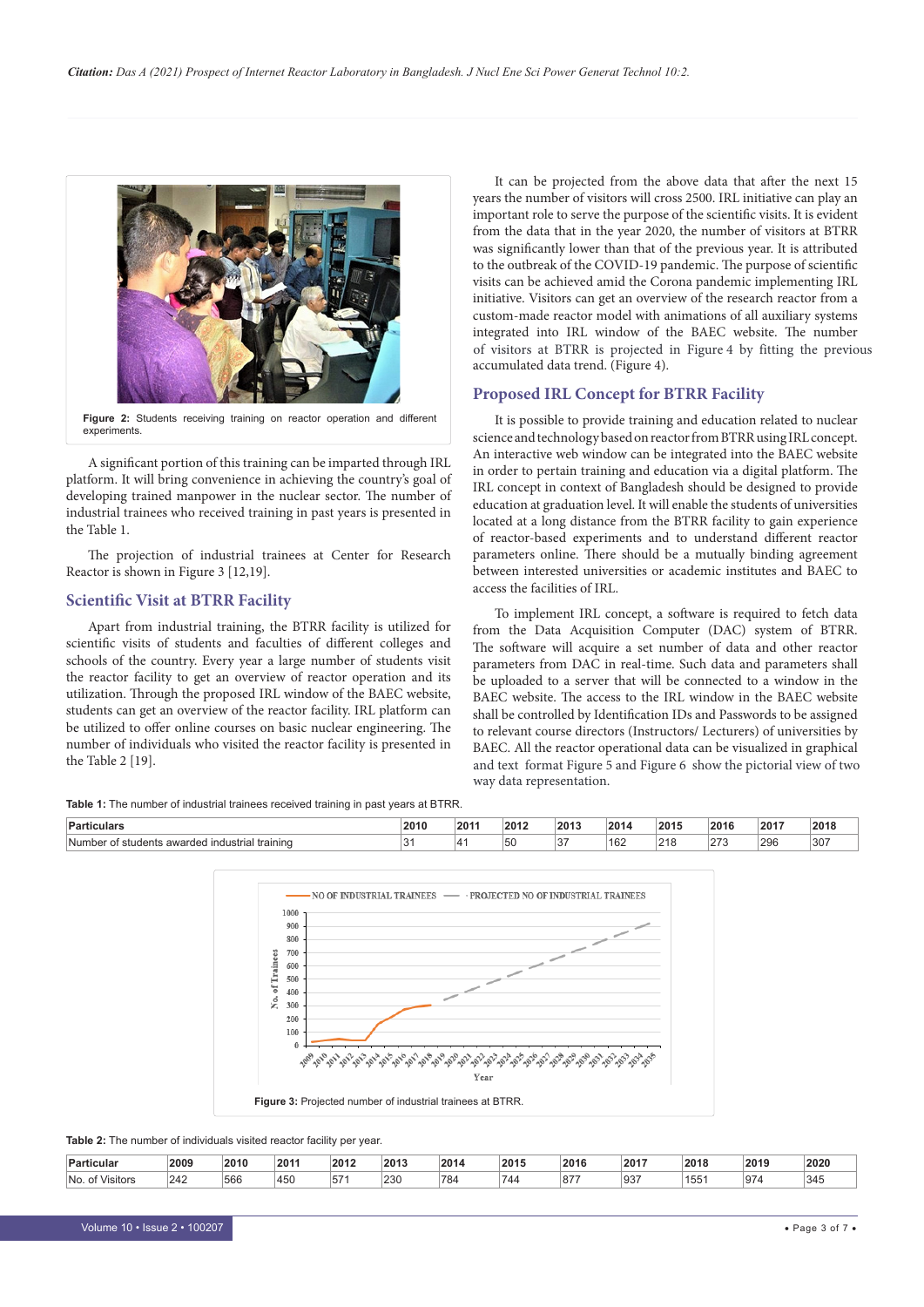

A significant portion of this training can be imparted through IRL platform. It will bring convenience in achieving the country's goal of developing trained manpower in the nuclear sector. The number of industrial trainees who received training in past years is presented in the Table 1.

The projection of industrial trainees at Center for Research Reactor is shown in Figure 3 [12,19].

# **Scientific Visit at BTRR Facility**

Apart from industrial training, the BTRR facility is utilized for scientific visits of students and faculties of different colleges and schools of the country. Every year a large number of students visit the reactor facility to get an overview of reactor operation and its utilization. Through the proposed IRL window of the BAEC website, students can get an overview of the reactor facility. IRL platform can be utilized to offer online courses on basic nuclear engineering. The number of individuals who visited the reactor facility is presented in the Table 2 [19].

It can be projected from the above data that after the next 15 years the number of visitors will cross 2500. IRL initiative can play an important role to serve the purpose of the scientific visits. It is evident from the data that in the year 2020, the number of visitors at BTRR was significantly lower than that of the previous year. It is attributed to the outbreak of the COVID-19 pandemic. The purpose of scientific visits can be achieved amid the Corona pandemic implementing IRL initiative. Visitors can get an overview of the research reactor from a custom-made reactor model with animations of all auxiliary systems integrated into IRL window of the BAEC website. The number accumulated data trend. (Figure 4). of visitors at BTRR is projected in Figure 4 by fitting the previous

# **Proposed IRL Concept for BTRR Facility**

It is possible to provide training and education related to nuclear science and technology based on reactor from BTRR using IRL concept. An interactive web window can be integrated into the BAEC website in order to pertain training and education via a digital platform. The IRL concept in context of Bangladesh should be designed to provide education at graduation level. It will enable the students of universities located at a long distance from the BTRR facility to gain experience of reactor-based experiments and to understand different reactor parameters online. There should be a mutually binding agreement between interested universities or academic institutes and BAEC to access the facilities of IRL.

To implement IRL concept, a software is required to fetch data from the Data Acquisition Computer (DAC) system of BTRR. The software will acquire a set number of data and other reactor parameters from DAC in real-time. Such data and parameters shall be uploaded to a server that will be connected to a window in the BAEC website. The access to the IRL window in the BAEC website shall be controlled by Identification IDs and Passwords to be assigned to relevant course directors (Instructors/ Lecturers) of universities by BAEC. All the reactor operational data can be visualized in graphical and text format Figure 5 and Figure 6 show the pictorial view of two way data representation.



**Table 2:** The number of individuals visited reactor facility per year.

| Particular                                         | 2009 | 2010 | 2011 | 2012      | 2013 | 2014 | 2015 | 2016 | 2017 | 2018 | 2019 | 2020 |
|----------------------------------------------------|------|------|------|-----------|------|------|------|------|------|------|------|------|
| $\sim$ $\sim$ $\sim$<br><b>No</b><br>Visitors<br>ີ | 242  | 566  | 450  | $-$<br>51 | 23C  | 784  | 744  | 87   | 937  | 1551 | 974  | 345  |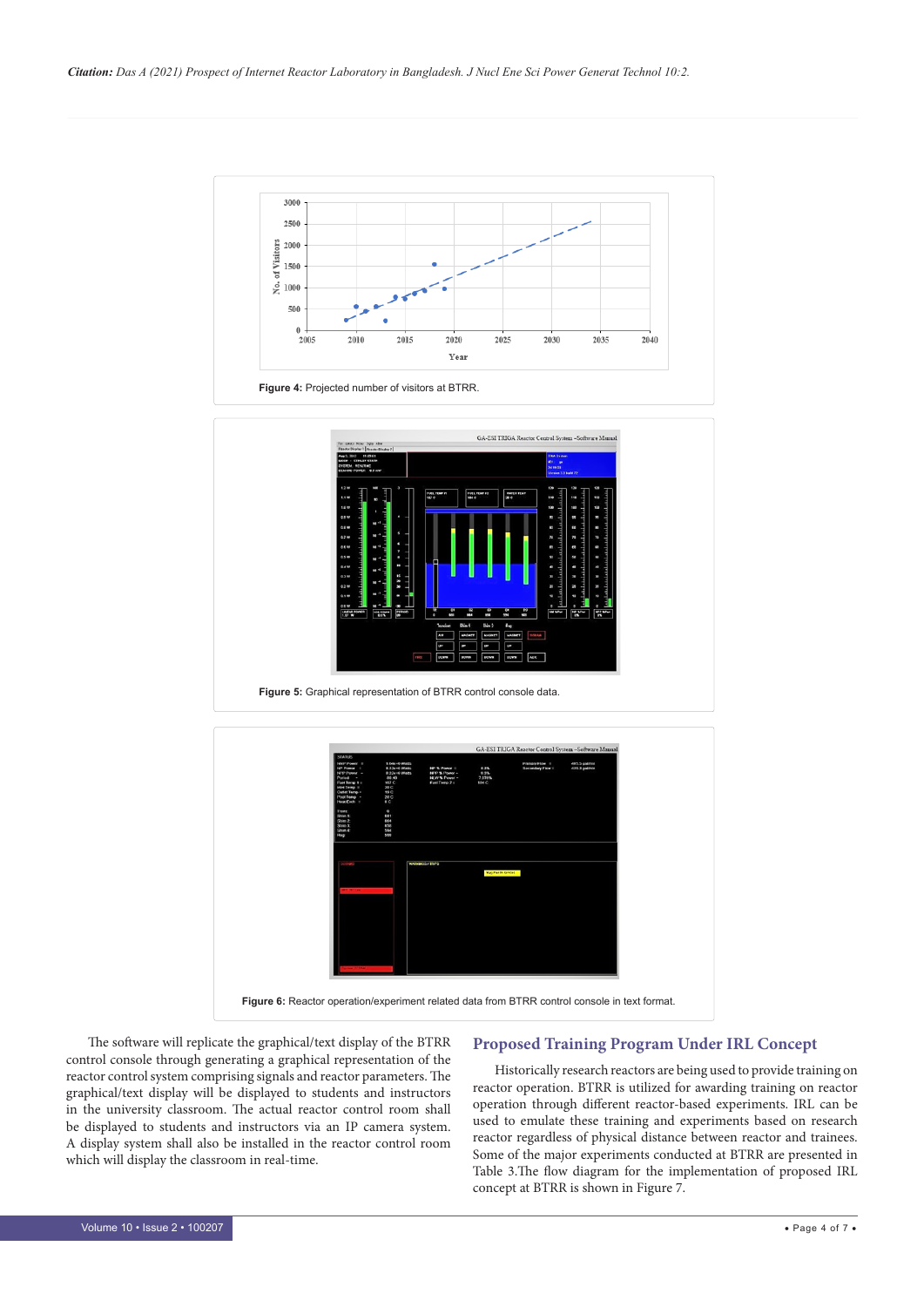

The software will replicate the graphical/text display of the BTRR control console through generating a graphical representation of the reactor control system comprising signals and reactor parameters. The graphical/text display will be displayed to students and instructors in the university classroom. The actual reactor control room shall be displayed to students and instructors via an IP camera system. A display system shall also be installed in the reactor control room which will display the classroom in real-time.

# **Proposed Training Program Under IRL Concept**

Historically research reactors are being used to provide training on reactor operation. BTRR is utilized for awarding training on reactor operation through different reactor-based experiments. IRL can be used to emulate these training and experiments based on research reactor regardless of physical distance between reactor and trainees. Some of the major experiments conducted at BTRR are presented in Table 3.The flow diagram for the implementation of proposed IRL concept at BTRR is shown in Figure 7.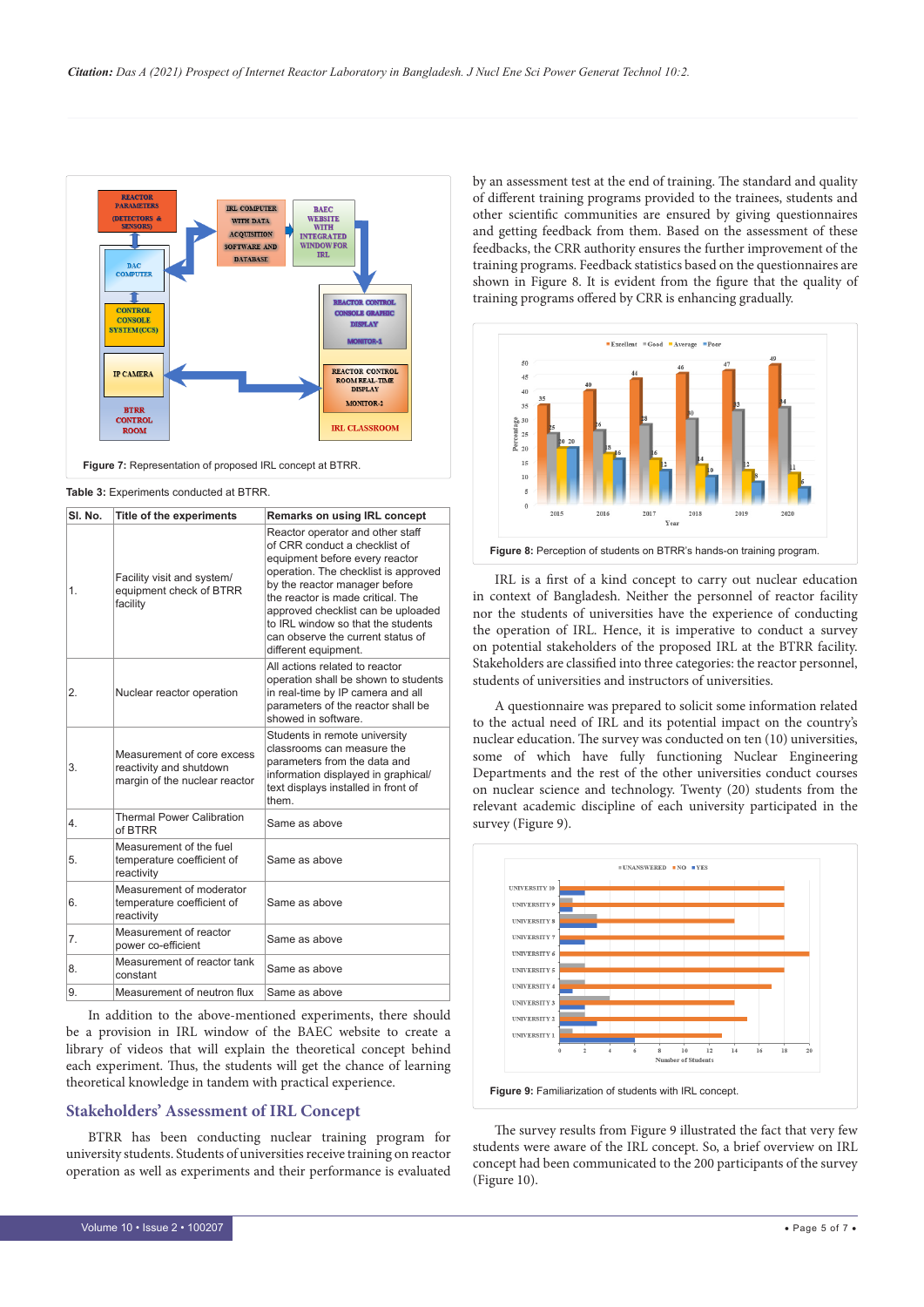

**Figure 7:** Representation of proposed IRL concept at BTRR.

**Table 3:** Experiments conducted at BTRR.

| SI. No. | Title of the experiments                                                               | Remarks on using IRL concept                                                                                                                                                                                                                                                                                                                               |
|---------|----------------------------------------------------------------------------------------|------------------------------------------------------------------------------------------------------------------------------------------------------------------------------------------------------------------------------------------------------------------------------------------------------------------------------------------------------------|
| 1.      | Facility visit and system/<br>equipment check of BTRR<br>facility                      | Reactor operator and other staff<br>of CRR conduct a checklist of<br>equipment before every reactor<br>operation. The checklist is approved<br>by the reactor manager before<br>the reactor is made critical. The<br>approved checklist can be uploaded<br>to IRL window so that the students<br>can observe the current status of<br>different equipment. |
| 2.      | Nuclear reactor operation                                                              | All actions related to reactor<br>operation shall be shown to students<br>in real-time by IP camera and all<br>parameters of the reactor shall be<br>showed in software.                                                                                                                                                                                   |
| 3.      | Measurement of core excess<br>reactivity and shutdown<br>margin of the nuclear reactor | Students in remote university<br>classrooms can measure the<br>parameters from the data and<br>information displayed in graphical/<br>text displays installed in front of<br>them.                                                                                                                                                                         |
| 4       | <b>Thermal Power Calibration</b><br>of BTRR                                            | Same as above                                                                                                                                                                                                                                                                                                                                              |
| 5.      | Measurement of the fuel<br>temperature coefficient of<br>reactivity                    | Same as above                                                                                                                                                                                                                                                                                                                                              |
| 6.      | Measurement of moderator<br>temperature coefficient of<br>reactivity                   | Same as above                                                                                                                                                                                                                                                                                                                                              |
| 7.      | Measurement of reactor<br>power co-efficient                                           | Same as above                                                                                                                                                                                                                                                                                                                                              |
| 8.      | Measurement of reactor tank<br>constant                                                | Same as above                                                                                                                                                                                                                                                                                                                                              |
| 9.      | Measurement of neutron flux                                                            | Same as above                                                                                                                                                                                                                                                                                                                                              |

In addition to the above-mentioned experiments, there should be a provision in IRL window of the BAEC website to create a library of videos that will explain the theoretical concept behind each experiment. Thus, the students will get the chance of learning theoretical knowledge in tandem with practical experience.

# **Stakeholders' Assessment of IRL Concept**

BTRR has been conducting nuclear training program for university students. Students of universities receive training on reactor operation as well as experiments and their performance is evaluated by an assessment test at the end of training. The standard and quality of different training programs provided to the trainees, students and other scientific communities are ensured by giving questionnaires and getting feedback from them. Based on the assessment of these feedbacks, the CRR authority ensures the further improvement of the training programs. Feedback statistics based on the questionnaires are shown in Figure 8. It is evident from the figure that the quality of training programs offered by CRR is enhancing gradually.



IRL is a first of a kind concept to carry out nuclear education in context of Bangladesh. Neither the personnel of reactor facility nor the students of universities have the experience of conducting the operation of IRL. Hence, it is imperative to conduct a survey on potential stakeholders of the proposed IRL at the BTRR facility. Stakeholders are classified into three categories: the reactor personnel, students of universities and instructors of universities.

A questionnaire was prepared to solicit some information related to the actual need of IRL and its potential impact on the country's nuclear education. The survey was conducted on ten (10) universities, some of which have fully functioning Nuclear Engineering Departments and the rest of the other universities conduct courses on nuclear science and technology. Twenty (20) students from the relevant academic discipline of each university participated in the survey (Figure 9).



The survey results from Figure 9 illustrated the fact that very few students were aware of the IRL concept. So, a brief overview on IRL concept had been communicated to the 200 participants of the survey (Figure 10).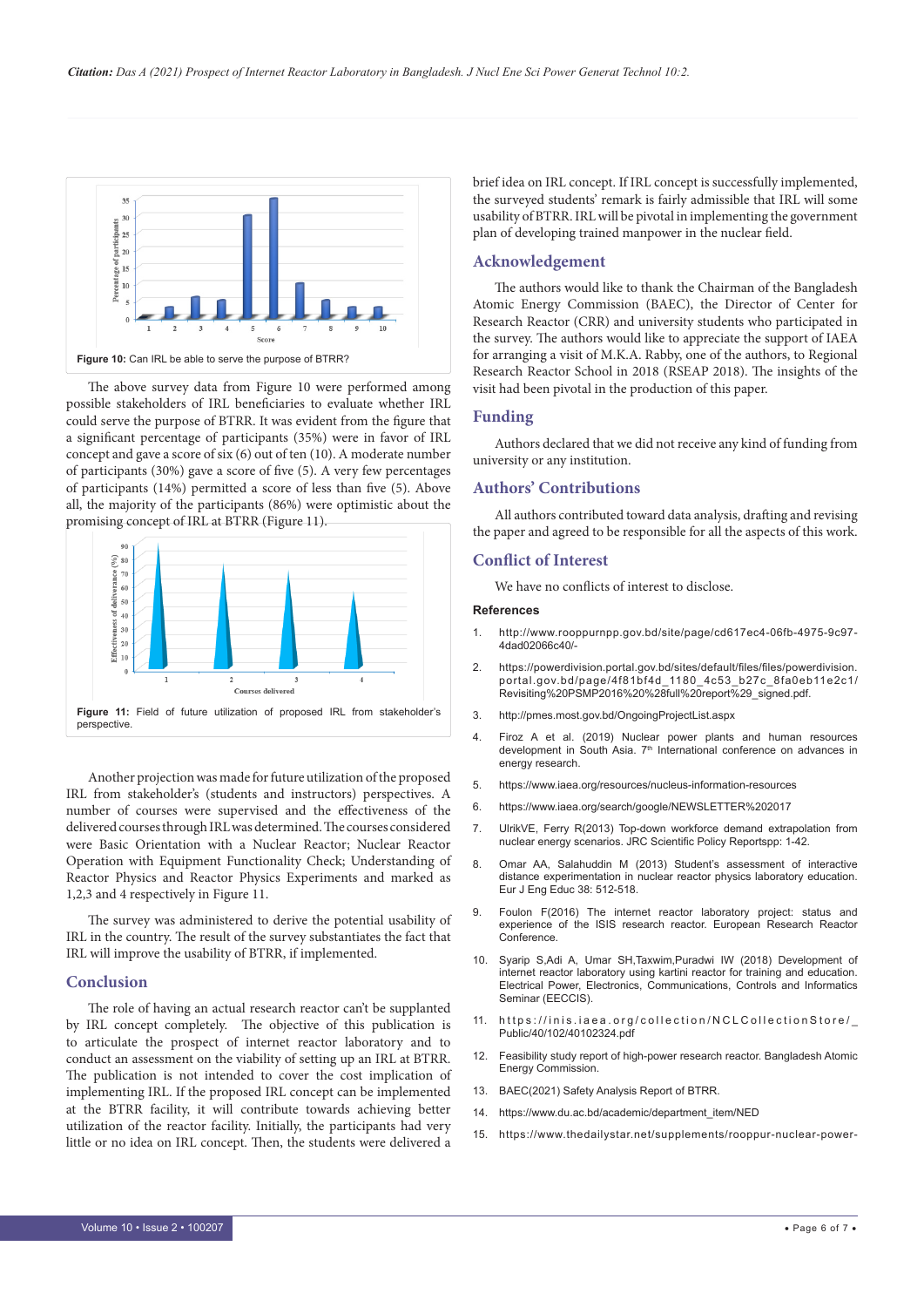

The above survey data from Figure 10 were performed among possible stakeholders of IRL beneficiaries to evaluate whether IRL could serve the purpose of BTRR. It was evident from the figure that a significant percentage of participants (35%) were in favor of IRL concept and gave a score of six (6) out of ten (10). A moderate number of participants (30%) gave a score of five (5). A very few percentages of participants (14%) permitted a score of less than five (5). Above all, the majority of the participants (86%) were optimistic about the promising concept of IRL at BTRR (Figure 11).



Another projection was made for future utilization of the proposed IRL from stakeholder's (students and instructors) perspectives. A number of courses were supervised and the effectiveness of the delivered courses through IRL was determined. The courses considered were Basic Orientation with a Nuclear Reactor; Nuclear Reactor Operation with Equipment Functionality Check; Understanding of Reactor Physics and Reactor Physics Experiments and marked as 1,2,3 and 4 respectively in Figure 11.

The survey was administered to derive the potential usability of IRL in the country. The result of the survey substantiates the fact that IRL will improve the usability of BTRR, if implemented.

# **Conclusion**

The role of having an actual research reactor can't be supplanted by IRL concept completely. The objective of this publication is to articulate the prospect of internet reactor laboratory and to conduct an assessment on the viability of setting up an IRL at BTRR. The publication is not intended to cover the cost implication of implementing IRL. If the proposed IRL concept can be implemented at the BTRR facility, it will contribute towards achieving better utilization of the reactor facility. Initially, the participants had very little or no idea on IRL concept. Then, the students were delivered a brief idea on IRL concept. If IRL concept is successfully implemented, the surveyed students' remark is fairly admissible that IRL will some usability of BTRR. IRL will be pivotal in implementing the government plan of developing trained manpower in the nuclear field.

# **Acknowledgement**

The authors would like to thank the Chairman of the Bangladesh Atomic Energy Commission (BAEC), the Director of Center for Research Reactor (CRR) and university students who participated in the survey. The authors would like to appreciate the support of IAEA for arranging a visit of M.K.A. Rabby, one of the authors, to Regional Research Reactor School in 2018 (RSEAP 2018). The insights of the visit had been pivotal in the production of this paper.

# **Funding**

Authors declared that we did not receive any kind of funding from university or any institution.

#### **Authors' Contributions**

All authors contributed toward data analysis, drafting and revising the paper and agreed to be responsible for all the aspects of this work.

# **Conflict of Interest**

We have no conflicts of interest to disclose.

#### **References**

- 1. http://www.rooppurnpp.gov.bd/site/page/cd617ec4-06fb-4975-9c97- 4dad02066c40/-
- 2. https://powerdivision.portal.gov.bd/sites/default/files/files/powerdivision. portal.gov.bd/page/4f81bf4d\_1180\_4c53\_b27c\_8fa0eb11e2c1/ Revisiting%20PSMP2016%20%28full%20report%29\_signed.pdf.
- 3. http://pmes.most.gov.bd/OngoingProjectList.aspx
- 4. Firoz A et al. (2019) Nuclear power plants and human resources development in South Asia. 7th International conference on advances in energy research
- 5. https://www.iaea.org/resources/nucleus-information-resources
- 6. https://www.iaea.org/search/google/NEWSLETTER%202017
- 7. UlrikVE, Ferry R(2013) Top-down workforce demand extrapolation from nuclear energy scenarios. JRC Scientific Policy Reportspp: 1-42.
- 8. Omar AA, Salahuddin M (2013) Student's assessment of interactive distance experimentation in nuclear reactor physics laboratory education. Eur J Eng Educ 38: 512-518.
- 9. Foulon F(2016) The internet reactor laboratory project: status and experience of the ISIS research reactor. European Research Reactor Conference.
- 10. Syarip S,Adi A, Umar SH,Taxwim,Puradwi IW (2018) Development of internet reactor laboratory using kartini reactor for training and education. Electrical Power, Electronics, Communications, Controls and Informatics Seminar (EECCIS).
- 11. https://inis.iaea.org/collection/NCLCollectionStore/\_ Public/40/102/40102324.pdf
- 12. Feasibility study report of high-power research reactor. Bangladesh Atomic Energy Commission.
- 13. BAEC(2021) Safety Analysis Report of BTRR.
- 14. https://www.du.ac.bd/academic/department\_item/NED
- 15. https://www.thedailystar.net/supplements/rooppur-nuclear-power-